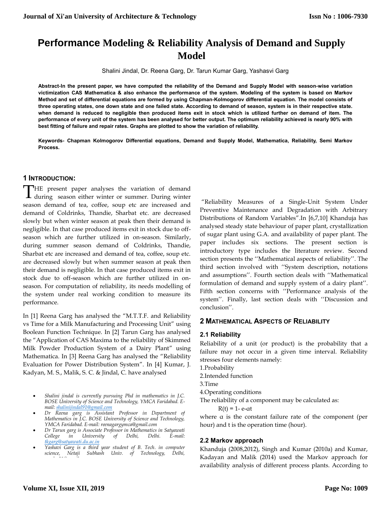# **Performance Modeling & Reliability Analysis of Demand and Supply Model**

Shalini Jindal, Dr. Reena Garg, Dr. Tarun Kumar Garg, Yashasvi Garg

**Abstract-In the present paper, we have computed the reliability of the Demand and Supply Model with season-wise variation victimization CAS Mathematica & also enhance the performance of the system. Modeling of the system is based on Markov Method and set of differential equations are formed by using Chapman-Kolmogorov differential equation. The model consists of three operating states, one down state and one failed state. According to demand of season, system is in their respective state. when demand is reduced to negligible then produced items exit in stock which is utilized further on demand of item. The performance of every unit of the system has been analysed for better output. The optimum reliability achieved is nearly 90% with best fitting of failure and repair rates. Graphs are plotted to show the variation of reliability.**

**Keywords- Chapman Kolmogorov Differential equations, Demand and Supply Model, Mathematica, Reliability, Semi Markov Process.**

## **1 INTRODUCTION:**

THE present paper analyses the variation of demand THE present paper analyses the variation of demand<br>during season either winter or summer. During winter season demand of tea, coffee, soup etc are increased and demand of Coldrinks, Thandie, Sharbat etc. are decreased slowly but when winter season at peak then their demand is negligible. In that case produced items exit in stock due to offseason which are further utilized in on-season. Similarly, during summer season demand of Coldrinks, Thandie, Sharbat etc are increased and demand of tea, coffee, soup etc. are decreased slowly but when summer season at peak then their demand is negligible. In that case produced items exit in stock due to off-season which are further utilized in onseason. For computation of reliability, its needs modelling of the system under real working condition to measure its performance.

In [1] Reena Garg has analysed the "M.T.T.F. and Reliability vs Time for a Milk Manufacturing and Processing Unit" using Boolean Function Technique. In [2] Tarun Garg has analysed the "Application of CAS Maxima to the reliability of Skimmed Milk Powder Production System of a Dairy Plant" using Mathematica. In [3] Reena Garg has analysed the "Reliability Evaluation for Power Distribution System". In [4] Kumar, J. Kadyan, M. S., Malik, S. C. & Jindal, C. have analysed

- *Shalini jindal is currently pursuing Phd in mathematics in J.C. BOSE University of Science and Technology, YMCA Faridabad. Email[: shalinijindal91@gmail.com](mailto:shalinijindal91@gmail.com)*
- *Dr Reena garg is Assistant Professor in Department of Mathematics in J.C. BOSE University of Science and Technology, YMCA Faridabad. E-mail[: reenagargymca@gmail.com](mailto:reenagargymca@gmail.com)*
- *Dr Tarun garg is Associate Professor in Mathematics in Satyawati College in University of Delhi, Delhi. E-mail: [tkgarg@satyawati.du.ac.in](mailto:tkgarg@satyawati.du.ac.in)*
- *Yashavi Garg is a third year student of B. Tech. in computer science, Netaji Subhash Univ. of Technology, Delhi,*

"Reliability Measures of a Single-Unit System Under Preventive Maintenance and Degradation with Arbitrary Distributions of Random Variables".In [6,7,10] Khanduja has analysed steady state behaviour of paper plant, crystallization of sugar plant using G.A. and availability of paper plant. The paper includes six sections. The present section is introductory type includes the literature review. Second section presents the ''Mathematical aspects of reliability''. The third section involved with ''System description, notations and assumptions''. Fourth section deals with ''Mathematical formulation of demand and supply system of a dairy plant''. Fifth section concerns with ''Performance analysis of the system''. Finally, last section deals with ''Discussion and conclusion''.

## **2 MATHEMATICAL ASPECTS OF RELIABILITY**

#### **2.1 Reliability**

Reliability of a unit (or product) is the probability that a failure may not occur in a given time interval. Reliability stresses four elements namely:

1.Probability

2.Intended function

3.Time

4.Operating conditions

The reliability of a component may be calculated as:

 $R(t) = 1 - e$ - at

where  $\alpha$  is the constant failure rate of the component (per hour) and t is the operation time (hour).

## **2.2 Markov approach**

Khanduja (2008,2012), Singh and Kumar (2010a) and Kumar, Kadayan and Malik (2014) used the Markov approach for availability analysis of different process plants. According to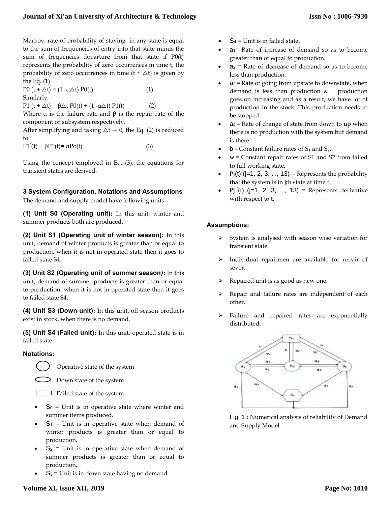## **Journal of Xi'an University of Architecture & Technology**

Markov, rate of probability of staying in any state is equal to the sum of frequencies of entry into that state minus the sum of frequencies departure from that state if P0(t) represents the probability of zero occurrences in time t, the probability of zero occurrences in time  $(t + \Delta t)$  is given by the Eq. (1)

 $P0(t + Δt) = (1 - αΔt) P0(t)$  (1) Similarly,

P1 (t + Δt) =  $βΔt P0(t) + (1 - αΔt) P1(t)$  (2)

Where  $\alpha$  is the failure rate and  $\beta$  is the repair rate of the component or subsystem respectively.

After simplifying and taking  $\Delta t \rightarrow 0$ , the Eq. (2) is reduced to

 $P1'(t) + \beta P1(t) = \alpha P_0(t)$  (3)

Using the concept employed in Eq. (3), the equations for transient states are derived.

## **3 System Configuration, Notations and Assumptions**

The demand and supply model have following units:

**(1) Unit S0 (Operating unit):** In this unit, winter and summer products both are produced.

**(2) Unit S1 (Operating unit of winter season):** In this unit, demand of winter products is greater than or equal to production. when it is not in operated state then it goes to failed state S4.

**(3) Unit S2 (Operating unit of summer season***)***:** In this unit, demand of summer products is greater than or equal to production. when it is not in operated state then it goes to failed state S4.

**(4) Unit S3 (Down unit):** In this unit, off season products exist in stock, when there is no demand.

**(5) Unit S4 (Failed unit):** In this unit, operated state is in failed state.

## **Notations:**



Down state of the system



Failed state of the system

- $S_0$  = Unit is in operative state where winter and summer items produced.
- $S_1$  = Unit is in operative state when demand of winter products is greater than or equal to production.
- $S_2$  = Unit is in operative state when demand of summer products is greater than or equal to production.
- $S_3$  = Unit is in down state having no demand.
- $S_4$  = Unit is in failed state.
- $a_1$ = Rate of increase of demand so as to become greater than or equal to production.
- $a_2$  = Rate of decrease of demand so as to become less than production.
- $a_3$  = Rate of going from upstate to downstate, when demand is less than production & production goes on increasing and as a result, we have lot of production in the stock. This production needs to be stopped.
- $a_4$  = Rate of change of state from down to up when there is no production with the system but demand is there.
- $b =$  Constant failure rates of  $S_1$  and  $S_2$ .
- w = Constant repair rates of S1 and S2 from failed to full working state.
- Pj(t) ( $j=1, 2, 3, \ldots, 13$ ) = Represents the probability that the system is in jth state at time t.
- Pj  $'(t)$  ( $j=1, 2, 3, ..., 13$ ) = Represents derivative with respect to t.

## **Assumptions:**

- $\triangleright$  System is analysed with season wise variation for transient state.
- $\triangleright$  Individual repairmen are available for repair of sever.
- Repaired unit is as good as new one.
- $\triangleright$  Repair and failure rates are independent of each other.
- Failure and repaired rates are exponentially distributed.



Fig. 1 : Numerical analysis of reliability of Demand and Supply Model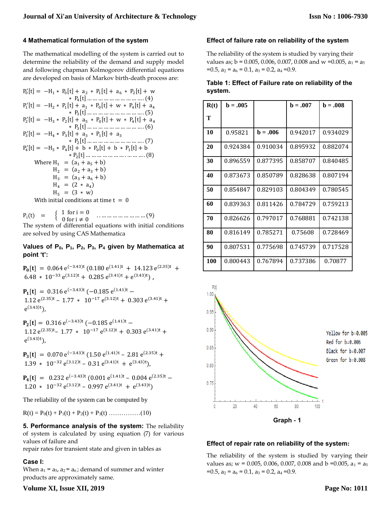### **4 Mathematical formulation of the system**

The mathematical modelling of the system is carried out to determine the reliability of the demand and supply model and following chapman Kolmogorov differential equations are developed on basis of Markov birth-death process are:

P0 ′ [t] = −H<sup>1</sup> ∗ P<sup>0</sup> [t] + a<sup>2</sup> ∗ P<sup>1</sup> [t] + a<sup>6</sup> ∗ P<sup>2</sup> [t] + w ∗ P<sup>4</sup> [t] … … … … … … … … … … . (4) P1 ′ [t] = −H<sup>2</sup> ∗ P<sup>1</sup> [t] + a<sup>1</sup> ∗ P<sup>0</sup> [t] + w ∗ P<sup>4</sup> [t] + a<sup>4</sup> ∗ P<sup>3</sup> [t] … … … … … … … … … … . (5) P2 ′ [t] = −H<sup>3</sup> ∗ P<sup>2</sup> [t] + a<sup>5</sup> ∗ P<sup>0</sup> [t] + w ∗ P<sup>4</sup> [t] + a<sup>4</sup> ∗ P<sup>3</sup> [t] … … … … … … … … … … . (6) P3 ′ [t] = −H<sup>4</sup> ∗ P<sup>3</sup> [t] + a<sup>3</sup> ∗ P<sup>1</sup> [t] + a<sup>3</sup> ∗ P<sup>2</sup> [t] … … … … … … … … … … . (7) P4 ′ [t] = −H<sup>5</sup> ∗ P<sup>4</sup> [t] + b ∗ P<sup>0</sup> [t] + b ∗ P<sup>1</sup> [t] + b ∗ P<sup>2</sup> [t] … … … … … … … . … … … . (8) Where H<sup>1</sup> = (a<sup>1</sup> + a<sup>5</sup> + b) H<sup>2</sup> = (a<sup>2</sup> + a<sup>3</sup> + b) H<sup>3</sup> = (a<sup>3</sup> + a<sup>6</sup> + b) H<sup>4</sup> = (2 ∗ a<sup>4</sup> ) H<sup>5</sup> = (3 ∗ w) With initial conditions at time t = 0

 $P_i(t) = \{$ 1 for  $i = 0$ 0 for i  $\neq$  0 . . … … … … … … … … (9) The system of differential equations with initial conditions are solved by using CAS Mathematica

#### **Values of P0, P1, P2, P3, P<sup>4</sup> given by Mathematica at point 't':**

 $P_0[t] = 0.064 e^{(-3.43)t} (0.180 e^{(1.41)t} + 14.123 e^{(2.35)t} +$  $6.48 \times 10^{-33} e^{(3.12)t} + 0.285 e^{(3.41)t} + e^{(3.43)t}$ 

 $P_1[t] = 0.316 e^{(-3.43)t} (-0.185 e^{(1.41)t} -$ 1.12  $e^{(2.35)t} - 1.77 \times 10^{-17} e^{(3.12)t} + 0.303 e^{(3.41)t} +$  $e^{(3.43)t}$ ),

 $P_2[t] = 0.316 e^{(-3.43)t} (-0.185 e^{(1.41)t} -$ 1.12  $e^{(2.35)t}$  – 1.77  $*$  10<sup>-17</sup>  $e^{(3.12)t}$  + 0.303  $e^{(3.41)t}$  +  $e^{(3.43)t}$ ),

 $P_3[t] = 0.070 e^{(-3.43)t} (1.50 e^{(1.41)t} - 2.81 e^{(2.35)t} +$ 1.39 \*  $10^{-32} e^{(3.12)t} - 0.31 e^{(3.41)t} + e^{(3.43)t}$ 

 $P_4[t] = 0.232 e^{(-3.43)t} (0.001 e^{(1.41)t} - 0.004 e^{(2.35)t} -$ 1.20 \* 10<sup>-32</sup> e<sup>(3.12)t</sup> – 0.997 e<sup>(3.41)t</sup> + e<sup>(3.43)t</sup>)

The reliability of the system can be computed by

 $R(t) = P_0(t) + P_1(t) + P_2(t) + P_3(t)$  ………………(10)

**5. Performance analysis of the system:** The reliability of system is calculated by using equation (7) for various values of failure and

repair rates for transient state and given in tables as

## **Case I:**

When  $a_1 = a_5$ ,  $a_2 = a_6$ ; demand of summer and winter products are approximately same.

## **Effect of failure rate on reliability of the system**

The reliability of the system is studied by varying their values as;  $b = 0.005, 0.006, 0.007, 0.008$  and w =0.005,  $a_1 = a_5$  $=0.5$ ,  $a_2 = a_6 = 0.1$ ,  $a_3 = 0.2$ ,  $a_4 = 0.9$ .

## **Table 1: Effect of Failure rate on reliability of the system.**

| R(t) | $b = .005$ |            | $b = .007$ | $b = .008$ |
|------|------------|------------|------------|------------|
| Т    |            |            |            |            |
| 10   | 0.95821    | $b = .006$ | 0.942017   | 0.934029   |
| 20   | 0.924384   | 0.910034   | 0.895932   | 0.882074   |
| 30   | 0.896559   | 0.877395   | 0.858707   | 0.840485   |
| 40   | 0.873673   | 0.850789   | 0.828638   | 0.807194   |
| 50   | 0.854847   | 0.829103   | 0.804349   | 0.780545   |
| 60   | 0.839363   | 0.811426   | 0.784729   | 0.759213   |
| 70   | 0.826626   | 0.797017   | 0.768881   | 0.742138   |
| 80   | 0.816149   | 0.785271   | 0.75608    | 0.728469   |
| 90   | 0.807531   | 0.775698   | 0.745739   | 0.717528   |
| 100  | 0.800443   | 0.767894   | 0.737386   | 0.70877    |



#### **Effect of repair rate on reliability of the system:**

The reliability of the system is studied by varying their values as;  $w = 0.005, 0.006, 0.007, 0.008$  and  $b = 0.005, a_1 = a_5$  $=0.5$ ,  $a_2 = a_6 = 0.1$ ,  $a_3 = 0.2$ ,  $a_4 = 0.9$ .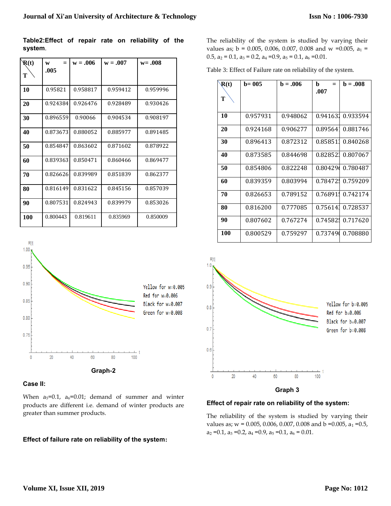**Table2:Effect of repair rate on reliability of the system**.

| $\mathbf{R}(t)$ | $=$<br>W | $w = .006$ | $w = .007$ | $w = .008$ |
|-----------------|----------|------------|------------|------------|
| Т               | .005     |            |            |            |
| 10              | 0.95821  | 0.958817   | 0.959412   | 0.959996   |
| 20              | 0.924384 | 0.926476   | 0.928489   | 0.930426   |
| 30              | 0.896559 | 0.90066    | 0.904534   | 0.908197   |
| 40              | 0.873673 | 0.880052   | 0.885977   | 0.891485   |
| 50              | 0.854847 | 0.863602   | 0.871602   | 0.878922   |
| 60              | 0.839363 | 0.850471   | 0.860466   | 0.869477   |
| 70              | 0.826626 | 0.839989   | 0.851839   | 0.862377   |
| 80              | 0.816149 | 0.831622   | 0.845156   | 0.857039   |
| 90              | 0.807531 | 0.824943   | 0.839979   | 0.853026   |
| <b>100</b>      | 0.800443 | 0.819611   | 0.835969   | 0.850009   |



#### **Case II:**

When  $a_5=0.1$ ,  $a_6=0.01$ ; demand of summer and winter products are different i.e. demand of winter products are greater than summer products.

#### **Effect of failure rate on reliability of the system:**

The reliability of the system is studied by varying their values as;  $b = 0.005, 0.006, 0.007, 0.008$  and w =0.005,  $a_1$  = 0.5,  $a_2 = 0.1$ ,  $a_3 = 0.2$ ,  $a_4 = 0.9$ ,  $a_5 = 0.1$ ,  $a_6 = 0.01$ .

Table 3: Effect of Failure rate on reliability of the system.

| R(t)<br>т | $b = 005$ | $b = .006$ | b<br>$=$<br>.007 | $b = .008$ |
|-----------|-----------|------------|------------------|------------|
| 10        | 0.957931  | 0.948062   | 0.941631         | 0.933594   |
|           |           |            |                  |            |
| 20        | 0.924168  | 0.906277   | 0.89564          | 0.881746   |
| 30        | 0.896413  | 0.872312   | 0.858511         | 0.840268   |
| 40        | 0.873585  | 0.844698   | 0.828521         | 0.807067   |
| 50        | 0.854806  | 0.822248   | 0.80429          | 0.780487   |
| 60        | 0.839359  | 0.803994   | 0.78472.         | 0.759209   |
| 70        | 0.826653  | 0.789152   | 0.76891          | 0.742174   |
| 80        | 0.816200  | 0.777085   | 0.756141         | 0.728537   |
| 90        | 0.807602  | 0.767274   | 0.74582!         | 0.717620   |
| 100       | 0.800529  | 0.759297   | 0.73749          | 0.708880   |





#### **Effect of repair rate on reliability of the system:**

The reliability of the system is studied by varying their values as;  $w = 0.005$ , 0.006, 0.007, 0.008 and b = 0.005,  $a_1 = 0.5$ ,  $a_2 = 0.1$ ,  $a_3 = 0.2$ ,  $a_4 = 0.9$ ,  $a_5 = 0.1$ ,  $a_6 = 0.01$ .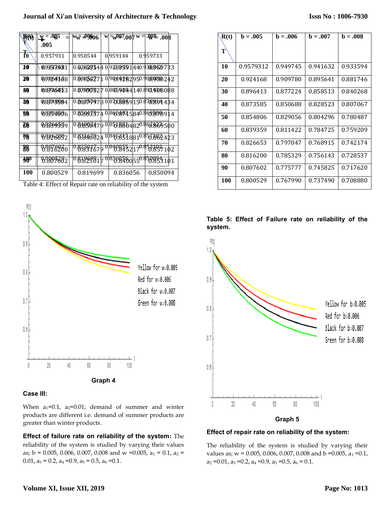## **Journal of Xi'an University of Architecture & Technology**

| $\mathbb{R}(\mathbb{Q})$  | $\mathbf{w} = .005$ | <sup>w</sup> w ± <sup>00</sup> 06     | $w = w007,000$ w =    | .998008  |  |
|---------------------------|---------------------|---------------------------------------|-----------------------|----------|--|
|                           | .005                |                                       |                       |          |  |
| $\overline{\textbf{f}_0}$ | 0.957931            | 0.958544                              | 0.959144              | 0.959733 |  |
| 10                        | 092547881           | 0.0295235440192629591440.930024529783 |                       |          |  |
| 30                        | 089764168           | 0.00026271 0190149282950.908080242    |                       |          |  |
| 30                        | 08736453            | 0.879097527 0188590541 40.891.9818088 |                       |          |  |
| <b>40</b>                 | 08573984            | 0.86359978018718859150.878894484      |                       |          |  |
| <b>SO</b>                 | 03334906            | 0.85863974 08608925840.869.898914     |                       |          |  |
| $\overline{\bf 60}$       | 08259559            | 0.84996479 08518804820.863.863500     |                       |          |  |
| 80                        | 0923892             | 0.831467024 018458578810.857882423    |                       |          |  |
| 88                        | 8878280             | 0.82591679                            | 08408532170.853857102 |          |  |
| $\mathbf{\mathcal{W}}$    | 83877682            |                                       |                       |          |  |
| <b>100</b>                | 0.800529            | 0.819699                              | 0.836056              | 0.850094 |  |

Table 4: Effect of Repair rate on reliability of the system



## **Case III:**

When  $a_1=0.1$ ,  $a_2=0.01$ ; demand of summer and winter products are different i.e. demand of summer products are greater than winter products.

**Effect of failure rate on reliability of the system:** The reliability of the system is studied by varying their values as;  $b = 0.005, 0.006, 0.007, 0.008$  and w =0.005,  $a_1 = 0.1, a_2 =$ 0.01,  $a_3 = 0.2$ ,  $a_4 = 0.9$ ,  $a_5 = 0.5$ ,  $a_6 = 0.1$ .

| R(t) | $b = .005$ | $b = .006$ | $b = .007$ | $b = .008$ |
|------|------------|------------|------------|------------|
| T    |            |            |            |            |
| 10   | 0.9579312  | 0.949745   | 0.941632   | 0.933594   |
| 20   | 0.924168   | 0.909780   | 0.895641   | 0.881746   |
| 30   | 0.896413   | 0.877224   | 0.858513   | 0.840268   |
| 40   | 0.873585   | 0.850688   | 0.828523   | 0.807067   |
| 50   | 0.854806   | 0.829056   | 0.804296   | 0.780487   |
| 60   | 0.839359   | 0.811422   | 0.784725   | 0.759209   |
| 70   | 0.826653   | 0.797047   | 0.768915   | 0.742174   |
| 80   | 0.816200   | 0.785329   | 0.756143   | 0.728537   |
| 90   | 0.807602   | 0.775777   | 0.745825   | 0.717620   |
| 100  | 0.800529   | 0.767990   | 0.737490   | 0.708880   |





#### **Effect of repair rate on reliability of the system:**

The reliability of the system is studied by varying their values as;  $w = 0.005, 0.006, 0.007, 0.008$  and  $b = 0.005, a_1 = 0.1$ ,  $a_2 = 0.01$ ,  $a_3 = 0.2$ ,  $a_4 = 0.9$ ,  $a_5 = 0.5$ ,  $a_6 = 0.1$ .